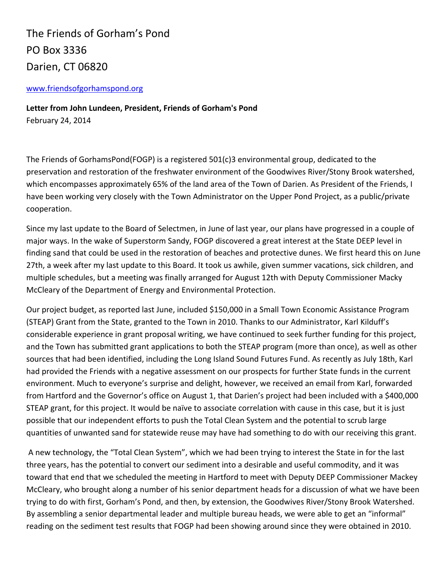The Friends of Gorham's Pond PO Box 3336 Darien, CT 06820

## [www.friendsofgorhamspond.org](http://www.friendsofgorhamspond.org/)

**Letter from John Lundeen, President, Friends of Gorham's Pond** February 24, 2014

The Friends of GorhamsPond(FOGP) is a registered 501(c)3 environmental group, dedicated to the preservation and restoration of the freshwater environment of the Goodwives River/Stony Brook watershed, which encompasses approximately 65% of the land area of the Town of Darien. As President of the Friends, I have been working very closely with the Town Administrator on the Upper Pond Project, as a public/private cooperation.

Since my last update to the Board of Selectmen, in June of last year, our plans have progressed in a couple of major ways. In the wake of Superstorm Sandy, FOGP discovered a great interest at the State DEEP level in finding sand that could be used in the restoration of beaches and protective dunes. We first heard this on June 27th, a week after my last update to this Board. It took us awhile, given summer vacations, sick children, and multiple schedules, but a meeting was finally arranged for August 12th with Deputy Commissioner Macky McCleary of the Department of Energy and Environmental Protection.

Our project budget, as reported last June, included \$150,000 in a Small Town Economic Assistance Program (STEAP) Grant from the State, granted to the Town in 2010. Thanks to our Administrator, Karl Kilduff's considerable experience in grant proposal writing, we have continued to seek further funding for this project, and the Town has submitted grant applications to both the STEAP program (more than once), as well as other sources that had been identified, including the Long Island Sound Futures Fund. As recently as July 18th, Karl had provided the Friends with a negative assessment on our prospects for further State funds in the current environment. Much to everyone's surprise and delight, however, we received an email from Karl, forwarded from Hartford and the Governor's office on August 1, that Darien's project had been included with a \$400,000 STEAP grant, for this project. It would be naïve to associate correlation with cause in this case, but it is just possible that our independent efforts to push the Total Clean System and the potential to scrub large quantities of unwanted sand for statewide reuse may have had something to do with our receiving this grant.

A new technology, the "Total Clean System", which we had been trying to interest the State in for the last three years, has the potential to convert our sediment into a desirable and useful commodity, and it was toward that end that we scheduled the meeting in Hartford to meet with Deputy DEEP Commissioner Mackey McCleary, who brought along a number of his senior department heads for a discussion of what we have been trying to do with first, Gorham's Pond, and then, by extension, the Goodwives River/Stony Brook Watershed. By assembling a senior departmental leader and multiple bureau heads, we were able to get an "informal" reading on the sediment test results that FOGP had been showing around since they were obtained in 2010.